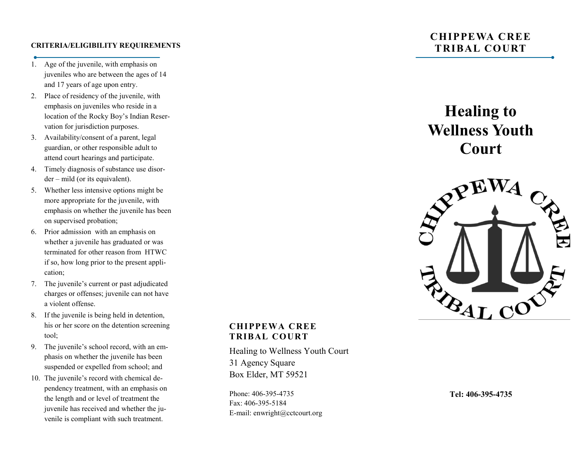### **CRITERIA/ELIGIBILITY REQUIREMENTS**

- 1. Age of the juvenile, with emphasis on juveniles who are between the ages of 14 and 17 years of age upon entry.
- 2. Place of residency of the juvenile, with emphasis on juveniles who reside in a location of the Rocky Boy's Indian Reservation for jurisdiction purposes.
- 3. Availability/consent of a parent, legal guardian, or other responsible adult to attend court hearings and participate.
- 4. Timely diagnosis of substance use disorder – mild (or its equivalent).
- 5. Whether less intensive options might be more appropriate for the juvenile, with emphasis on whether the juvenile has been on supervised probation;
- 6. Prior admission with an emphasis on whether a juvenile has graduated or was terminated for other reason from HTWC if so, how long prior to the present application;
- 7. The juvenile's current or past adjudicated charges or offenses; juvenile can not have a violent offense.
- 8. If the juvenile is being held in detention, his or her score on the detention screening tool;
- 9. The juvenile's school record, with an emphasis on whether the juvenile has been suspended or expelled from school; and
- 10. The juvenile's record with chemical dependency treatment, with an emphasis on the length and or level of treatment the juvenile has received and whether the juvenile is compliant with such treatment.

# **CHIPPEWA CREE TRIBAL COURT**

**Healing to Wellness Youth Court**



# **CHIPPEWA CREE TRIBAL COURT**

Healing to Wellness Youth Court 31 Agency Square Box Elder, MT 59521

Phone: 406-395-4735 Fax: 406-395-5184 E-mail: enwright@cctcourt.org

**Tel: 406-395-4735**